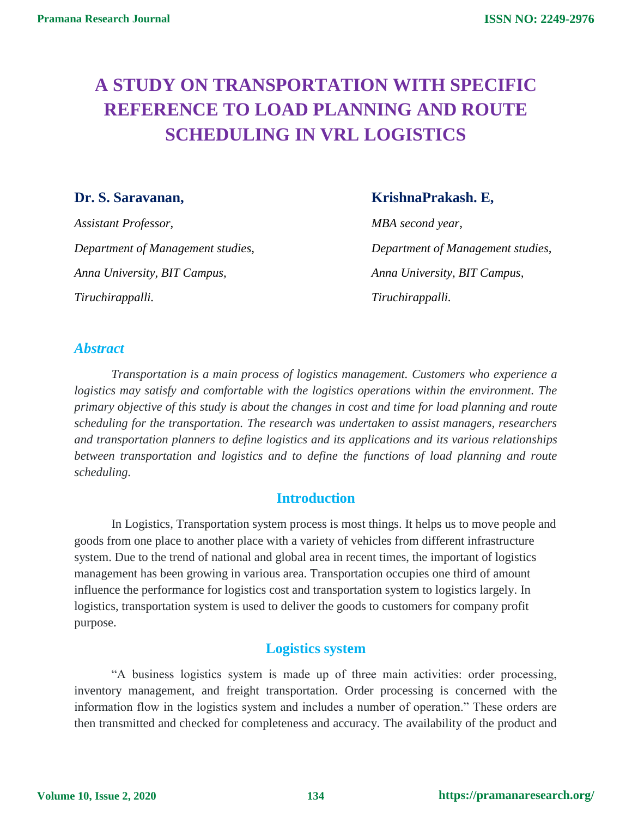# **A STUDY ON TRANSPORTATION WITH SPECIFIC REFERENCE TO LOAD PLANNING AND ROUTE SCHEDULING IN VRL LOGISTICS**

*Assistant Professor, MBA second year, Department of Management studies, Department of Management studies, Anna University, BIT Campus, Anna University, BIT Campus, Tiruchirappalli. Tiruchirappalli.*

# **Dr. S. Saravanan, KrishnaPrakash. E,**

# *Abstract*

*Transportation is a main process of logistics management. Customers who experience a logistics may satisfy and comfortable with the logistics operations within the environment. The primary objective of this study is about the changes in cost and time for load planning and route scheduling for the transportation. The research was undertaken to assist managers, researchers and transportation planners to define logistics and its applications and its various relationships between transportation and logistics and to define the functions of load planning and route scheduling.* 

# **Introduction**

In Logistics, Transportation system process is most things. It helps us to move people and goods from one place to another place with a variety of vehicles from different infrastructure system. Due to the trend of national and global area in recent times, the important of logistics management has been growing in various area. Transportation occupies one third of amount influence the performance for logistics cost and transportation system to logistics largely. In logistics, transportation system is used to deliver the goods to customers for company profit purpose.

# **Logistics system**

"A business logistics system is made up of three main activities: order processing, inventory management, and freight transportation. Order processing is concerned with the information flow in the logistics system and includes a number of operation." These orders are then transmitted and checked for completeness and accuracy. The availability of the product and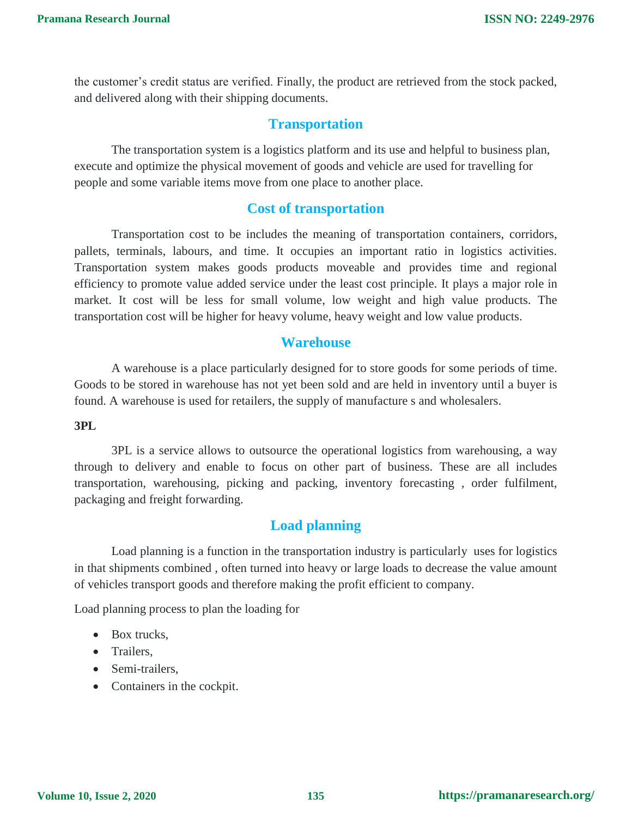the customer's credit status are verified. Finally, the product are retrieved from the stock packed, and delivered along with their shipping documents.

# **Transportation**

The transportation system is a logistics platform and its use and helpful to business plan, execute and optimize the physical movement of goods and vehicle are used for travelling for people and some variable items move from one place to another place.

## **Cost of transportation**

Transportation cost to be includes the meaning of transportation containers, corridors, pallets, terminals, labours, and time. It occupies an important ratio in logistics activities. Transportation system makes goods products moveable and provides time and regional efficiency to promote value added service under the least cost principle. It plays a major role in market. It cost will be less for small volume, low weight and high value products. The transportation cost will be higher for heavy volume, heavy weight and low value products.

## **Warehouse**

A warehouse is a place particularly designed for to store goods for some periods of time. Goods to be stored in warehouse has not yet been sold and are held in inventory until a buyer is found. A warehouse is used for retailers, the supply of manufacture s and wholesalers.

#### **3PL**

3PL is a service allows to outsource the operational logistics from warehousing, a way through to delivery and enable to focus on other part of business. These are all includes transportation, warehousing, picking and packing, inventory forecasting , order fulfilment, packaging and freight forwarding.

# **Load planning**

Load planning is a function in the transportation industry is particularly uses for logistics in that shipments combined , often turned into heavy or large loads to decrease the value amount of vehicles transport goods and therefore making the profit efficient to company.

Load planning process to plan the loading for

- Box trucks.
- Trailers.
- Semi-trailers,
- Containers in the cockpit.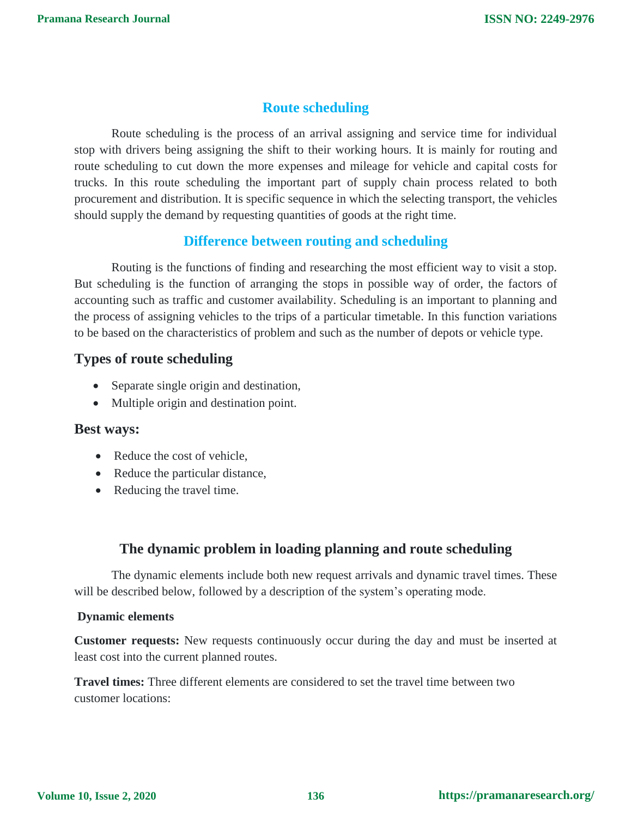# **Route scheduling**

Route scheduling is the process of an arrival assigning and service time for individual stop with drivers being assigning the shift to their working hours. It is mainly for routing and route scheduling to cut down the more expenses and mileage for vehicle and capital costs for trucks. In this route scheduling the important part of supply chain process related to both procurement and distribution. It is specific sequence in which the selecting transport, the vehicles should supply the demand by requesting quantities of goods at the right time.

## **Difference between routing and scheduling**

Routing is the functions of finding and researching the most efficient way to visit a stop. But scheduling is the function of arranging the stops in possible way of order, the factors of accounting such as traffic and customer availability. Scheduling is an important to planning and the process of assigning vehicles to the trips of a particular timetable. In this function variations to be based on the characteristics of problem and such as the number of depots or vehicle type.

# **Types of route scheduling**

- Separate single origin and destination,
- Multiple origin and destination point.

#### **Best ways:**

- Reduce the cost of vehicle,
- Reduce the particular distance,
- Reducing the travel time.

# **The dynamic problem in loading planning and route scheduling**

The dynamic elements include both new request arrivals and dynamic travel times. These will be described below, followed by a description of the system's operating mode.

#### **Dynamic elements**

**Customer requests:** New requests continuously occur during the day and must be inserted at least cost into the current planned routes.

**Travel times:** Three different elements are considered to set the travel time between two customer locations: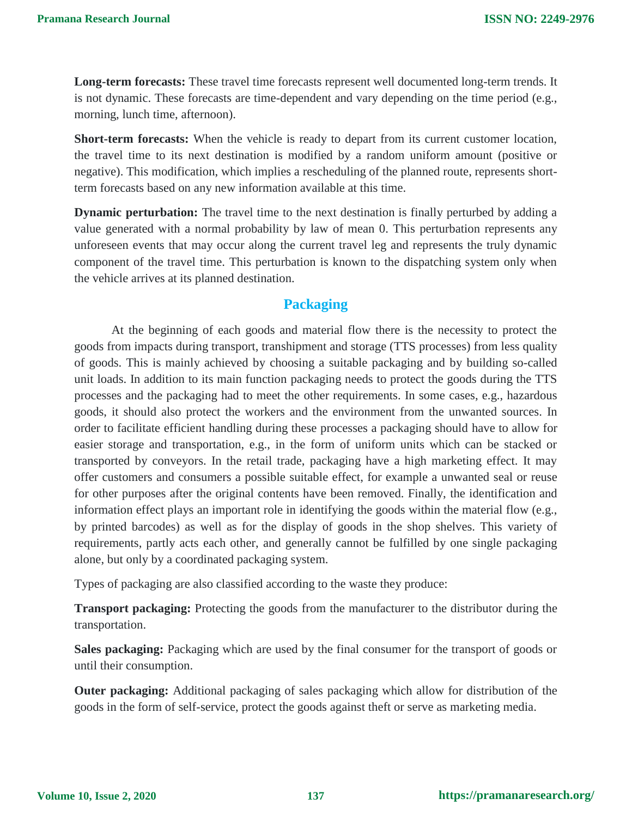**Long-term forecasts:** These travel time forecasts represent well documented long-term trends. It is not dynamic. These forecasts are time-dependent and vary depending on the time period (e.g., morning, lunch time, afternoon).

**Short-term forecasts:** When the vehicle is ready to depart from its current customer location, the travel time to its next destination is modified by a random uniform amount (positive or negative). This modification, which implies a rescheduling of the planned route, represents shortterm forecasts based on any new information available at this time.

**Dynamic perturbation:** The travel time to the next destination is finally perturbed by adding a value generated with a normal probability by law of mean 0. This perturbation represents any unforeseen events that may occur along the current travel leg and represents the truly dynamic component of the travel time. This perturbation is known to the dispatching system only when the vehicle arrives at its planned destination.

# **Packaging**

At the beginning of each goods and material flow there is the necessity to protect the goods from impacts during transport, transhipment and storage (TTS processes) from less quality of goods. This is mainly achieved by choosing a suitable packaging and by building so-called unit loads. In addition to its main function packaging needs to protect the goods during the TTS processes and the packaging had to meet the other requirements. In some cases, e.g., hazardous goods, it should also protect the workers and the environment from the unwanted sources. In order to facilitate efficient handling during these processes a packaging should have to allow for easier storage and transportation, e.g., in the form of uniform units which can be stacked or transported by conveyors. In the retail trade, packaging have a high marketing effect. It may offer customers and consumers a possible suitable effect, for example a unwanted seal or reuse for other purposes after the original contents have been removed. Finally, the identification and information effect plays an important role in identifying the goods within the material flow (e.g., by printed barcodes) as well as for the display of goods in the shop shelves. This variety of requirements, partly acts each other, and generally cannot be fulfilled by one single packaging alone, but only by a coordinated packaging system.

Types of packaging are also classified according to the waste they produce:

**Transport packaging:** Protecting the goods from the manufacturer to the distributor during the transportation.

**Sales packaging:** Packaging which are used by the final consumer for the transport of goods or until their consumption.

**Outer packaging:** Additional packaging of sales packaging which allow for distribution of the goods in the form of self-service, protect the goods against theft or serve as marketing media.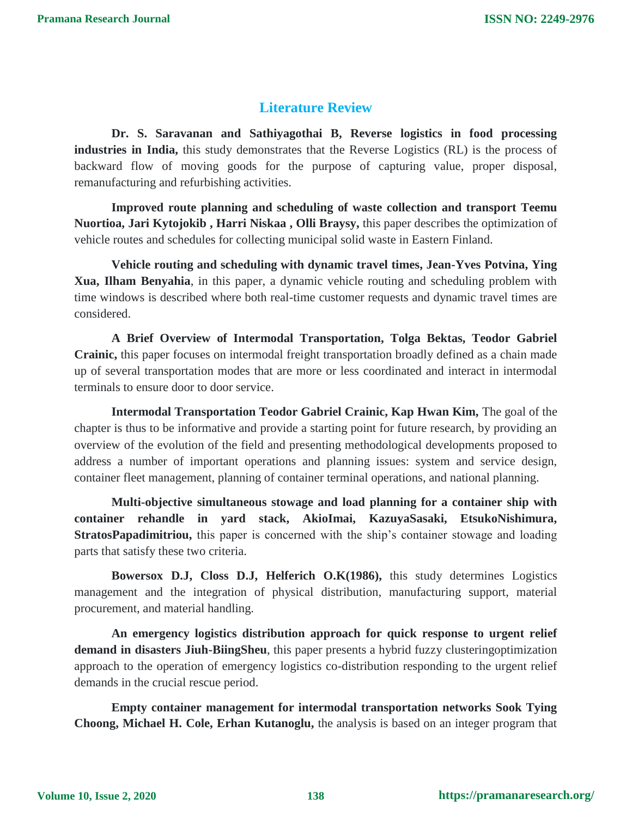# **Literature Review**

**Dr. S. Saravanan and Sathiyagothai B, Reverse logistics in food processing industries in India,** this study demonstrates that the Reverse Logistics (RL) is the process of backward flow of moving goods for the purpose of capturing value, proper disposal, remanufacturing and refurbishing activities.

**Improved route planning and scheduling of waste collection and transport Teemu Nuortioa, Jari Kytojokib , Harri Niskaa , Olli Braysy,** this paper describes the optimization of vehicle routes and schedules for collecting municipal solid waste in Eastern Finland.

**Vehicle routing and scheduling with dynamic travel times, Jean-Yves Potvina, Ying Xua, Ilham Benyahia**, in this paper, a dynamic vehicle routing and scheduling problem with time windows is described where both real-time customer requests and dynamic travel times are considered.

**A Brief Overview of Intermodal Transportation, Tolga Bektas, Teodor Gabriel Crainic,** this paper focuses on intermodal freight transportation broadly defined as a chain made up of several transportation modes that are more or less coordinated and interact in intermodal terminals to ensure door to door service.

**Intermodal Transportation Teodor Gabriel Crainic, Kap Hwan Kim,** The goal of the chapter is thus to be informative and provide a starting point for future research, by providing an overview of the evolution of the field and presenting methodological developments proposed to address a number of important operations and planning issues: system and service design, container fleet management, planning of container terminal operations, and national planning.

**Multi-objective simultaneous stowage and load planning for a container ship with container rehandle in yard stack, AkioImai, KazuyaSasaki, EtsukoNishimura, StratosPapadimitriou,** this paper is concerned with the ship's container stowage and loading parts that satisfy these two criteria.

**Bowersox D.J, Closs D.J, Helferich O.K(1986),** this study determines Logistics management and the integration of physical distribution, manufacturing support, material procurement, and material handling.

**An emergency logistics distribution approach for quick response to urgent relief demand in disasters Jiuh-BiingSheu**, this paper presents a hybrid fuzzy clusteringoptimization approach to the operation of emergency logistics co-distribution responding to the urgent relief demands in the crucial rescue period.

**Empty container management for intermodal transportation networks Sook Tying Choong, Michael H. Cole, Erhan Kutanoglu,** the analysis is based on an integer program that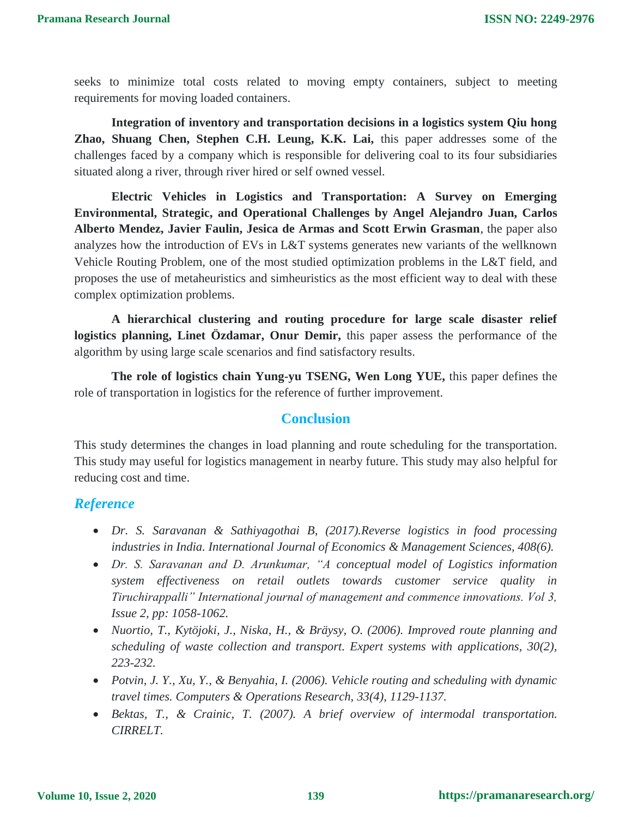seeks to minimize total costs related to moving empty containers, subject to meeting requirements for moving loaded containers.

**Integration of inventory and transportation decisions in a logistics system Qiu hong Zhao, Shuang Chen, Stephen C.H. Leung, K.K. Lai,** this paper addresses some of the challenges faced by a company which is responsible for delivering coal to its four subsidiaries situated along a river, through river hired or self owned vessel.

**Electric Vehicles in Logistics and Transportation: A Survey on Emerging Environmental, Strategic, and Operational Challenges by Angel Alejandro Juan, Carlos Alberto Mendez, Javier Faulin, Jesica de Armas and Scott Erwin Grasman**, the paper also analyzes how the introduction of EVs in L&T systems generates new variants of the wellknown Vehicle Routing Problem, one of the most studied optimization problems in the L&T field, and proposes the use of metaheuristics and simheuristics as the most efficient way to deal with these complex optimization problems.

**A hierarchical clustering and routing procedure for large scale disaster relief logistics planning, Linet Özdamar, Onur Demir,** this paper assess the performance of the algorithm by using large scale scenarios and find satisfactory results.

**The role of logistics chain Yung-yu TSENG, Wen Long YUE,** this paper defines the role of transportation in logistics for the reference of further improvement.

#### **Conclusion**

This study determines the changes in load planning and route scheduling for the transportation. This study may useful for logistics management in nearby future. This study may also helpful for reducing cost and time.

#### *Reference*

- *Dr. S. Saravanan & Sathiyagothai B, (2017).Reverse logistics in food processing industries in India. International Journal of Economics & Management Sciences, 408(6).*
- *Dr. S. Saravanan and D. Arunkumar, "A conceptual model of Logistics information system effectiveness on retail outlets towards customer service quality in Tiruchirappalli" International journal of management and commence innovations. Vol 3, Issue 2, pp: 1058-1062.*
- *Nuortio, T., Kytöjoki, J., Niska, H., & Bräysy, O. (2006). Improved route planning and scheduling of waste collection and transport. Expert systems with applications, 30(2), 223-232.*
- *Potvin, J. Y., Xu, Y., & Benyahia, I. (2006). Vehicle routing and scheduling with dynamic travel times. Computers & Operations Research, 33(4), 1129-1137.*
- *Bektas, T., & Crainic, T. (2007). A brief overview of intermodal transportation. CIRRELT.*